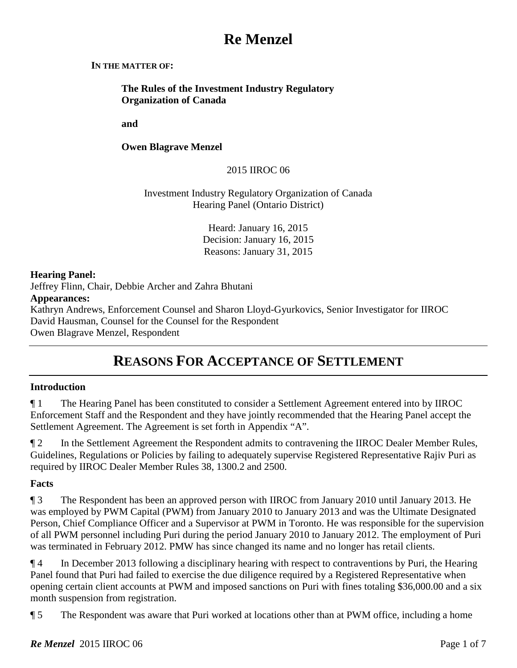# **Re Menzel**

### **IN THE MATTER OF:**

**The Rules of the Investment Industry Regulatory Organization of Canada**

**and** 

**Owen Blagrave Menzel**

2015 IIROC 06

Investment Industry Regulatory Organization of Canada Hearing Panel (Ontario District)

> Heard: January 16, 2015 Decision: January 16, 2015 Reasons: January 31, 2015

## **Hearing Panel:**

Jeffrey Flinn, Chair, Debbie Archer and Zahra Bhutani

# **Appearances:**

Kathryn Andrews, Enforcement Counsel and Sharon Lloyd-Gyurkovics, Senior Investigator for IIROC David Hausman, Counsel for the Counsel for the Respondent Owen Blagrave Menzel, Respondent

# **REASONS FOR ACCEPTANCE OF SETTLEMENT**

# **Introduction**

¶ 1 The Hearing Panel has been constituted to consider a Settlement Agreement entered into by IIROC Enforcement Staff and the Respondent and they have jointly recommended that the Hearing Panel accept the Settlement Agreement. The Agreement is set forth in Appendix "A".

¶ 2 In the Settlement Agreement the Respondent admits to contravening the IIROC Dealer Member Rules, Guidelines, Regulations or Policies by failing to adequately supervise Registered Representative Rajiv Puri as required by IIROC Dealer Member Rules 38, 1300.2 and 2500.

# **Facts**

¶ 3 The Respondent has been an approved person with IIROC from January 2010 until January 2013. He was employed by PWM Capital (PWM) from January 2010 to January 2013 and was the Ultimate Designated Person, Chief Compliance Officer and a Supervisor at PWM in Toronto. He was responsible for the supervision of all PWM personnel including Puri during the period January 2010 to January 2012. The employment of Puri was terminated in February 2012. PMW has since changed its name and no longer has retail clients.

¶ 4 In December 2013 following a disciplinary hearing with respect to contraventions by Puri, the Hearing Panel found that Puri had failed to exercise the due diligence required by a Registered Representative when opening certain client accounts at PWM and imposed sanctions on Puri with fines totaling \$36,000.00 and a six month suspension from registration.

¶ 5 The Respondent was aware that Puri worked at locations other than at PWM office, including a home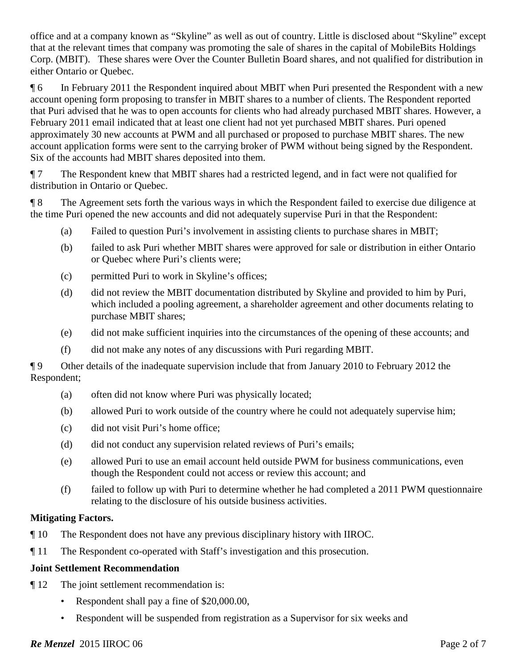office and at a company known as "Skyline" as well as out of country. Little is disclosed about "Skyline" except that at the relevant times that company was promoting the sale of shares in the capital of MobileBits Holdings Corp. (MBIT). These shares were Over the Counter Bulletin Board shares, and not qualified for distribution in either Ontario or Quebec.

¶ 6 In February 2011 the Respondent inquired about MBIT when Puri presented the Respondent with a new account opening form proposing to transfer in MBIT shares to a number of clients. The Respondent reported that Puri advised that he was to open accounts for clients who had already purchased MBIT shares. However, a February 2011 email indicated that at least one client had not yet purchased MBIT shares. Puri opened approximately 30 new accounts at PWM and all purchased or proposed to purchase MBIT shares. The new account application forms were sent to the carrying broker of PWM without being signed by the Respondent. Six of the accounts had MBIT shares deposited into them.

¶ 7 The Respondent knew that MBIT shares had a restricted legend, and in fact were not qualified for distribution in Ontario or Quebec.

¶ 8 The Agreement sets forth the various ways in which the Respondent failed to exercise due diligence at the time Puri opened the new accounts and did not adequately supervise Puri in that the Respondent:

- (a) Failed to question Puri's involvement in assisting clients to purchase shares in MBIT;
- (b) failed to ask Puri whether MBIT shares were approved for sale or distribution in either Ontario or Quebec where Puri's clients were;
- (c) permitted Puri to work in Skyline's offices;
- (d) did not review the MBIT documentation distributed by Skyline and provided to him by Puri, which included a pooling agreement, a shareholder agreement and other documents relating to purchase MBIT shares;
- (e) did not make sufficient inquiries into the circumstances of the opening of these accounts; and
- (f) did not make any notes of any discussions with Puri regarding MBIT.

¶ 9 Other details of the inadequate supervision include that from January 2010 to February 2012 the Respondent;

- (a) often did not know where Puri was physically located;
- (b) allowed Puri to work outside of the country where he could not adequately supervise him;
- (c) did not visit Puri's home office;
- (d) did not conduct any supervision related reviews of Puri's emails;
- (e) allowed Puri to use an email account held outside PWM for business communications, even though the Respondent could not access or review this account; and
- (f) failed to follow up with Puri to determine whether he had completed a 2011 PWM questionnaire relating to the disclosure of his outside business activities.

# **Mitigating Factors.**

- ¶ 10 The Respondent does not have any previous disciplinary history with IIROC.
- ¶ 11 The Respondent co-operated with Staff's investigation and this prosecution.

# **Joint Settlement Recommendation**

- ¶ 12 The joint settlement recommendation is:
	- Respondent shall pay a fine of \$20,000.00,
	- Respondent will be suspended from registration as a Supervisor for six weeks and

# *Re Menzel* 2015 IIROC 06 **Page 2 of 7** Page 2 of 7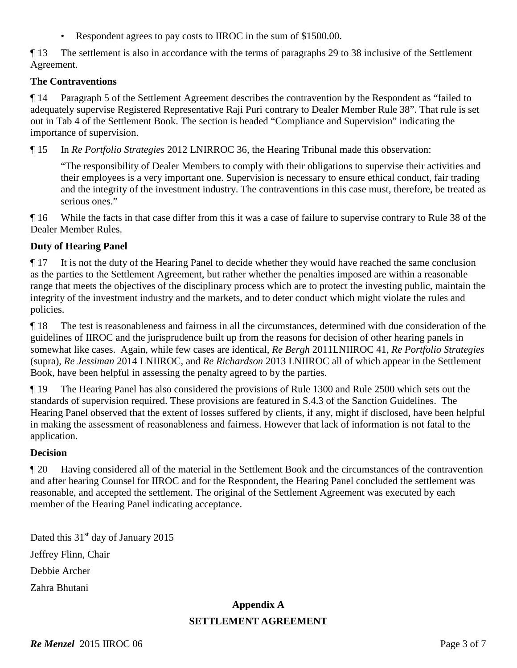• Respondent agrees to pay costs to IIROC in the sum of \$1500.00.

¶ 13 The settlement is also in accordance with the terms of paragraphs 29 to 38 inclusive of the Settlement Agreement.

# **The Contraventions**

¶ 14 Paragraph 5 of the Settlement Agreement describes the contravention by the Respondent as "failed to adequately supervise Registered Representative Raji Puri contrary to Dealer Member Rule 38". That rule is set out in Tab 4 of the Settlement Book. The section is headed "Compliance and Supervision" indicating the importance of supervision.

¶ 15 In *Re Portfolio Strategies* 2012 LNIRROC 36, the Hearing Tribunal made this observation:

"The responsibility of Dealer Members to comply with their obligations to supervise their activities and their employees is a very important one. Supervision is necessary to ensure ethical conduct, fair trading and the integrity of the investment industry. The contraventions in this case must, therefore, be treated as serious ones."

¶ 16 While the facts in that case differ from this it was a case of failure to supervise contrary to Rule 38 of the Dealer Member Rules.

# **Duty of Hearing Panel**

¶ 17 It is not the duty of the Hearing Panel to decide whether they would have reached the same conclusion as the parties to the Settlement Agreement, but rather whether the penalties imposed are within a reasonable range that meets the objectives of the disciplinary process which are to protect the investing public, maintain the integrity of the investment industry and the markets, and to deter conduct which might violate the rules and policies.

¶ 18 The test is reasonableness and fairness in all the circumstances, determined with due consideration of the guidelines of IIROC and the jurisprudence built up from the reasons for decision of other hearing panels in somewhat like cases. Again, while few cases are identical, *Re Bergh* 2011LNIIROC 41, *Re Portfolio Strategies* (supra), *Re Jessiman* 2014 LNIIROC, and *Re Richardson* 2013 LNIIROC all of which appear in the Settlement Book, have been helpful in assessing the penalty agreed to by the parties.

¶ 19 The Hearing Panel has also considered the provisions of Rule 1300 and Rule 2500 which sets out the standards of supervision required. These provisions are featured in S.4.3 of the Sanction Guidelines. The Hearing Panel observed that the extent of losses suffered by clients, if any, might if disclosed, have been helpful in making the assessment of reasonableness and fairness. However that lack of information is not fatal to the application.

# **Decision**

¶ 20 Having considered all of the material in the Settlement Book and the circumstances of the contravention and after hearing Counsel for IIROC and for the Respondent, the Hearing Panel concluded the settlement was reasonable, and accepted the settlement. The original of the Settlement Agreement was executed by each member of the Hearing Panel indicating acceptance.

Dated this  $31<sup>st</sup>$  day of January 2015 Jeffrey Flinn, Chair Debbie Archer Zahra Bhutani

# **Appendix A SETTLEMENT AGREEMENT**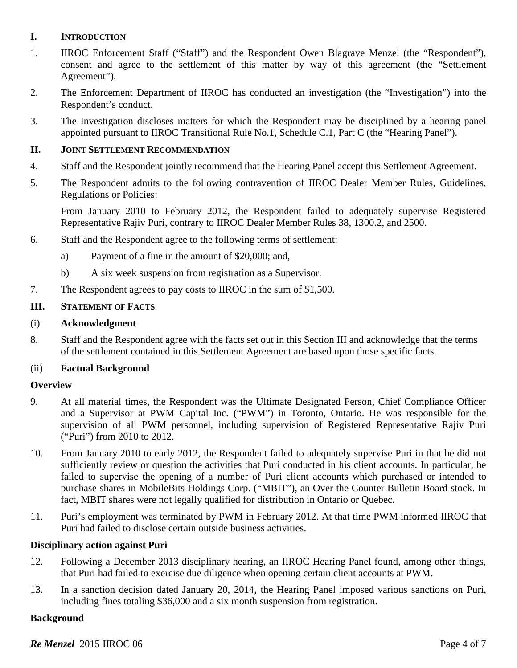# **I. INTRODUCTION**

- 1. IIROC Enforcement Staff ("Staff") and the Respondent Owen Blagrave Menzel (the "Respondent"), consent and agree to the settlement of this matter by way of this agreement (the "Settlement Agreement").
- 2. The Enforcement Department of IIROC has conducted an investigation (the "Investigation") into the Respondent's conduct.
- 3. The Investigation discloses matters for which the Respondent may be disciplined by a hearing panel appointed pursuant to IIROC Transitional Rule No.1, Schedule C.1, Part C (the "Hearing Panel").

### **II. JOINT SETTLEMENT RECOMMENDATION**

- 4. Staff and the Respondent jointly recommend that the Hearing Panel accept this Settlement Agreement.
- 5. The Respondent admits to the following contravention of IIROC Dealer Member Rules, Guidelines, Regulations or Policies:

From January 2010 to February 2012, the Respondent failed to adequately supervise Registered Representative Rajiv Puri, contrary to IIROC Dealer Member Rules 38, 1300.2, and 2500.

- 6. Staff and the Respondent agree to the following terms of settlement:
	- a) Payment of a fine in the amount of \$20,000; and,
	- b) A six week suspension from registration as a Supervisor.
- 7. The Respondent agrees to pay costs to IIROC in the sum of \$1,500.

### **III. STATEMENT OF FACTS**

### (i) **Acknowledgment**

8. Staff and the Respondent agree with the facts set out in this Section III and acknowledge that the terms of the settlement contained in this Settlement Agreement are based upon those specific facts.

### (ii) **Factual Background**

### **Overview**

- 9. At all material times, the Respondent was the Ultimate Designated Person, Chief Compliance Officer and a Supervisor at PWM Capital Inc. ("PWM") in Toronto, Ontario. He was responsible for the supervision of all PWM personnel, including supervision of Registered Representative Rajiv Puri ("Puri") from 2010 to 2012.
- 10. From January 2010 to early 2012, the Respondent failed to adequately supervise Puri in that he did not sufficiently review or question the activities that Puri conducted in his client accounts. In particular, he failed to supervise the opening of a number of Puri client accounts which purchased or intended to purchase shares in MobileBits Holdings Corp. ("MBIT"), an Over the Counter Bulletin Board stock. In fact, MBIT shares were not legally qualified for distribution in Ontario or Quebec.
- 11. Puri's employment was terminated by PWM in February 2012. At that time PWM informed IIROC that Puri had failed to disclose certain outside business activities.

### **Disciplinary action against Puri**

- 12. Following a December 2013 disciplinary hearing, an IIROC Hearing Panel found, among other things, that Puri had failed to exercise due diligence when opening certain client accounts at PWM.
- 13. In a sanction decision dated January 20, 2014, the Hearing Panel imposed various sanctions on Puri, including fines totaling \$36,000 and a six month suspension from registration.

### **Background**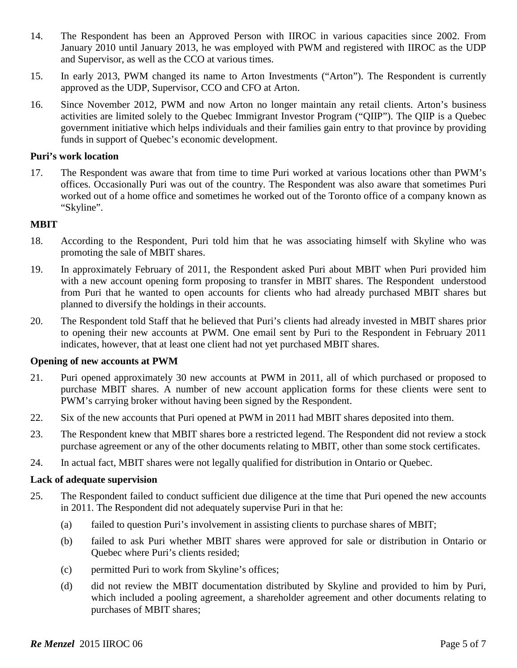- 14. The Respondent has been an Approved Person with IIROC in various capacities since 2002. From January 2010 until January 2013, he was employed with PWM and registered with IIROC as the UDP and Supervisor, as well as the CCO at various times.
- 15. In early 2013, PWM changed its name to Arton Investments ("Arton"). The Respondent is currently approved as the UDP, Supervisor, CCO and CFO at Arton.
- 16. Since November 2012, PWM and now Arton no longer maintain any retail clients. Arton's business activities are limited solely to the Quebec Immigrant Investor Program ("QIIP"). The QIIP is a Quebec government initiative which helps individuals and their families gain entry to that province by providing funds in support of Quebec's economic development.

#### **Puri's work location**

17. The Respondent was aware that from time to time Puri worked at various locations other than PWM's offices. Occasionally Puri was out of the country. The Respondent was also aware that sometimes Puri worked out of a home office and sometimes he worked out of the Toronto office of a company known as "Skyline".

#### **MBIT**

- 18. According to the Respondent, Puri told him that he was associating himself with Skyline who was promoting the sale of MBIT shares.
- 19. In approximately February of 2011, the Respondent asked Puri about MBIT when Puri provided him with a new account opening form proposing to transfer in MBIT shares. The Respondent understood from Puri that he wanted to open accounts for clients who had already purchased MBIT shares but planned to diversify the holdings in their accounts.
- 20. The Respondent told Staff that he believed that Puri's clients had already invested in MBIT shares prior to opening their new accounts at PWM. One email sent by Puri to the Respondent in February 2011 indicates, however, that at least one client had not yet purchased MBIT shares.

### **Opening of new accounts at PWM**

- 21. Puri opened approximately 30 new accounts at PWM in 2011, all of which purchased or proposed to purchase MBIT shares. A number of new account application forms for these clients were sent to PWM's carrying broker without having been signed by the Respondent.
- 22. Six of the new accounts that Puri opened at PWM in 2011 had MBIT shares deposited into them.
- 23. The Respondent knew that MBIT shares bore a restricted legend. The Respondent did not review a stock purchase agreement or any of the other documents relating to MBIT, other than some stock certificates.
- 24. In actual fact, MBIT shares were not legally qualified for distribution in Ontario or Quebec.

#### **Lack of adequate supervision**

- 25. The Respondent failed to conduct sufficient due diligence at the time that Puri opened the new accounts in 2011. The Respondent did not adequately supervise Puri in that he:
	- (a) failed to question Puri's involvement in assisting clients to purchase shares of MBIT;
	- (b) failed to ask Puri whether MBIT shares were approved for sale or distribution in Ontario or Quebec where Puri's clients resided;
	- (c) permitted Puri to work from Skyline's offices;
	- (d) did not review the MBIT documentation distributed by Skyline and provided to him by Puri, which included a pooling agreement, a shareholder agreement and other documents relating to purchases of MBIT shares;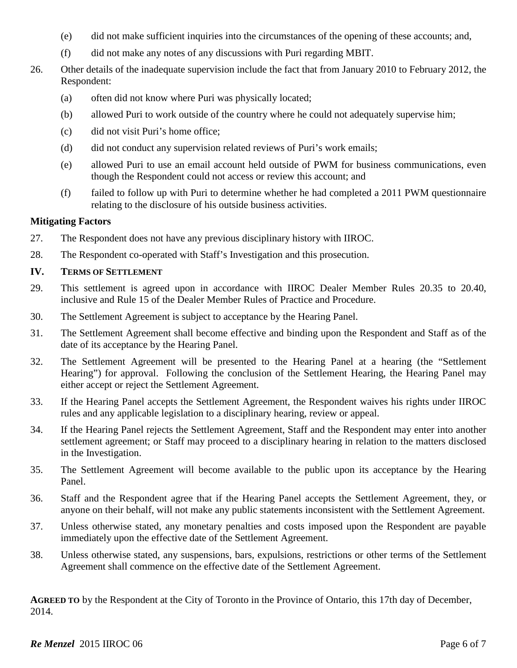- (e) did not make sufficient inquiries into the circumstances of the opening of these accounts; and,
- (f) did not make any notes of any discussions with Puri regarding MBIT.
- 26. Other details of the inadequate supervision include the fact that from January 2010 to February 2012, the Respondent:
	- (a) often did not know where Puri was physically located;
	- (b) allowed Puri to work outside of the country where he could not adequately supervise him;
	- (c) did not visit Puri's home office;
	- (d) did not conduct any supervision related reviews of Puri's work emails;
	- (e) allowed Puri to use an email account held outside of PWM for business communications, even though the Respondent could not access or review this account; and
	- $(f)$  failed to follow up with Puri to determine whether he had completed a 2011 PWM questionnaire relating to the disclosure of his outside business activities.

## **Mitigating Factors**

- 27. The Respondent does not have any previous disciplinary history with IIROC.
- 28. The Respondent co-operated with Staff's Investigation and this prosecution.

## **IV. TERMS OF SETTLEMENT**

- 29. This settlement is agreed upon in accordance with IIROC Dealer Member Rules 20.35 to 20.40, inclusive and Rule 15 of the Dealer Member Rules of Practice and Procedure.
- 30. The Settlement Agreement is subject to acceptance by the Hearing Panel.
- 31. The Settlement Agreement shall become effective and binding upon the Respondent and Staff as of the date of its acceptance by the Hearing Panel.
- 32. The Settlement Agreement will be presented to the Hearing Panel at a hearing (the "Settlement Hearing") for approval. Following the conclusion of the Settlement Hearing, the Hearing Panel may either accept or reject the Settlement Agreement.
- 33. If the Hearing Panel accepts the Settlement Agreement, the Respondent waives his rights under IIROC rules and any applicable legislation to a disciplinary hearing, review or appeal.
- 34. If the Hearing Panel rejects the Settlement Agreement, Staff and the Respondent may enter into another settlement agreement; or Staff may proceed to a disciplinary hearing in relation to the matters disclosed in the Investigation.
- 35. The Settlement Agreement will become available to the public upon its acceptance by the Hearing Panel.
- 36. Staff and the Respondent agree that if the Hearing Panel accepts the Settlement Agreement, they, or anyone on their behalf, will not make any public statements inconsistent with the Settlement Agreement.
- 37. Unless otherwise stated, any monetary penalties and costs imposed upon the Respondent are payable immediately upon the effective date of the Settlement Agreement.
- 38. Unless otherwise stated, any suspensions, bars, expulsions, restrictions or other terms of the Settlement Agreement shall commence on the effective date of the Settlement Agreement.

**AGREED TO** by the Respondent at the City of Toronto in the Province of Ontario, this 17th day of December, 2014.